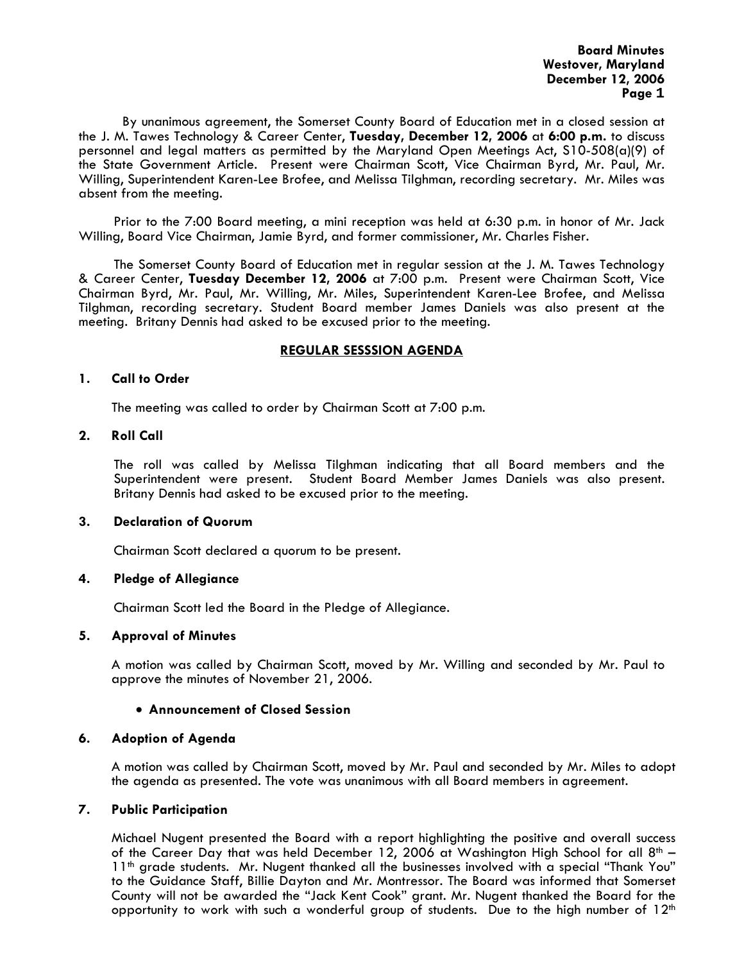**Board Minutes Westover, Maryland December 12, 2006 Page 1** 

 By unanimous agreement, the Somerset County Board of Education met in a closed session at the J. M. Tawes Technology & Career Center, **Tuesday, December 12, 2006** at **6:00 p.m.** to discuss personnel and legal matters as permitted by the Maryland Open Meetings Act, S10-508(a)(9) of the State Government Article. Present were Chairman Scott, Vice Chairman Byrd, Mr. Paul, Mr. Willing, Superintendent Karen-Lee Brofee, and Melissa Tilghman, recording secretary. Mr. Miles was absent from the meeting.

Prior to the 7:00 Board meeting, a mini reception was held at 6:30 p.m. in honor of Mr. Jack Willing, Board Vice Chairman, Jamie Byrd, and former commissioner, Mr. Charles Fisher.

The Somerset County Board of Education met in regular session at the J. M. Tawes Technology & Career Center, **Tuesday December 12, 2006** at 7:00 p.m. Present were Chairman Scott, Vice Chairman Byrd, Mr. Paul, Mr. Willing, Mr. Miles, Superintendent Karen-Lee Brofee, and Melissa Tilghman, recording secretary. Student Board member James Daniels was also present at the meeting. Britany Dennis had asked to be excused prior to the meeting.

#### **REGULAR SESSSION AGENDA**

#### **1. Call to Order**

The meeting was called to order by Chairman Scott at 7:00 p.m.

## **2. Roll Call**

The roll was called by Melissa Tilghman indicating that all Board members and the Superintendent were present. Student Board Member James Daniels was also present. Britany Dennis had asked to be excused prior to the meeting.

#### **3. Declaration of Quorum**

Chairman Scott declared a quorum to be present.

# **4. Pledge of Allegiance**

Chairman Scott led the Board in the Pledge of Allegiance.

# **5. Approval of Minutes**

 A motion was called by Chairman Scott, moved by Mr. Willing and seconded by Mr. Paul to approve the minutes of November 21, 2006.

# • **Announcement of Closed Session**

# **6. Adoption of Agenda**

 A motion was called by Chairman Scott, moved by Mr. Paul and seconded by Mr. Miles to adopt the agenda as presented. The vote was unanimous with all Board members in agreement.

#### **7. Public Participation**

Michael Nugent presented the Board with a report highlighting the positive and overall success of the Career Day that was held December 12, 2006 at Washington High School for all  $8<sup>th</sup> - 11<sup>th</sup>$  grade students. Mr. Nugent thanked all the businesses involved with a special "Thank You" to the Guidance Staff, Billie Dayton and Mr. Montressor. The Board was informed that Somerset County will not be awarded the "Jack Kent Cook" grant. Mr. Nugent thanked the Board for the opportunity to work with such a wonderful group of students. Due to the high number of  $12<sup>th</sup>$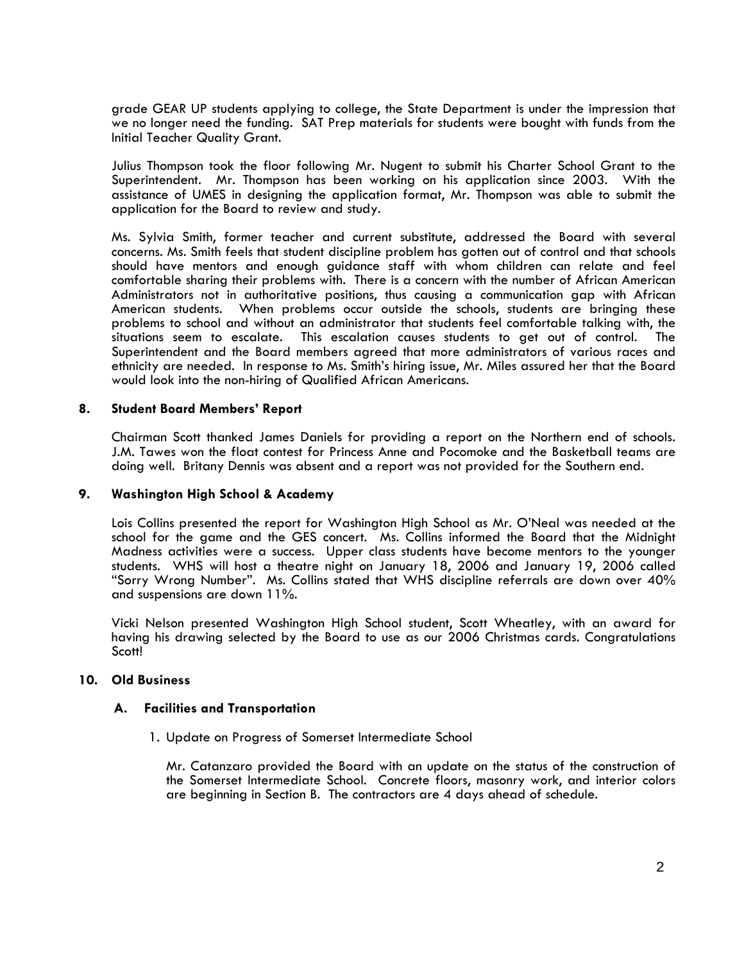grade GEAR UP students applying to college, the State Department is under the impression that we no longer need the funding. SAT Prep materials for students were bought with funds from the Initial Teacher Quality Grant.

Julius Thompson took the floor following Mr. Nugent to submit his Charter School Grant to the Superintendent. Mr. Thompson has been working on his application since 2003. With the assistance of UMES in designing the application format, Mr. Thompson was able to submit the application for the Board to review and study.

Ms. Sylvia Smith, former teacher and current substitute, addressed the Board with several concerns. Ms. Smith feels that student discipline problem has gotten out of control and that schools should have mentors and enough guidance staff with whom children can relate and feel comfortable sharing their problems with. There is a concern with the number of African American Administrators not in authoritative positions, thus causing a communication gap with African American students. When problems occur outside the schools, students are bringing these problems to school and without an administrator that students feel comfortable talking with, the situations seem to escalate. This escalation causes students to get out of control. The Superintendent and the Board members agreed that more administrators of various races and ethnicity are needed. In response to Ms. Smith's hiring issue, Mr. Miles assured her that the Board would look into the non-hiring of Qualified African Americans.

#### **8. Student Board Members' Report**

Chairman Scott thanked James Daniels for providing a report on the Northern end of schools. J.M. Tawes won the float contest for Princess Anne and Pocomoke and the Basketball teams are doing well. Britany Dennis was absent and a report was not provided for the Southern end.

#### **9. Washington High School & Academy**

Lois Collins presented the report for Washington High School as Mr. O'Neal was needed at the school for the game and the GES concert. Ms. Collins informed the Board that the Midnight Madness activities were a success. Upper class students have become mentors to the younger students. WHS will host a theatre night on January 18, 2006 and January 19, 2006 called "Sorry Wrong Number". Ms. Collins stated that WHS discipline referrals are down over 40%<br>and suspensions are down 11%.

Vicki Nelson presented Washington High School student, Scott Wheatley, with an award for having his drawing selected by the Board to use as our 2006 Christmas cards. Congratulations Scott!

#### **10. Old Business**

#### **A. Facilities and Transportation**

1. Update on Progress of Somerset Intermediate School

Mr. Catanzaro provided the Board with an update on the status of the construction of the Somerset Intermediate School. Concrete floors, masonry work, and interior colors are beginning in Section B. The contractors are 4 days ahead of schedule.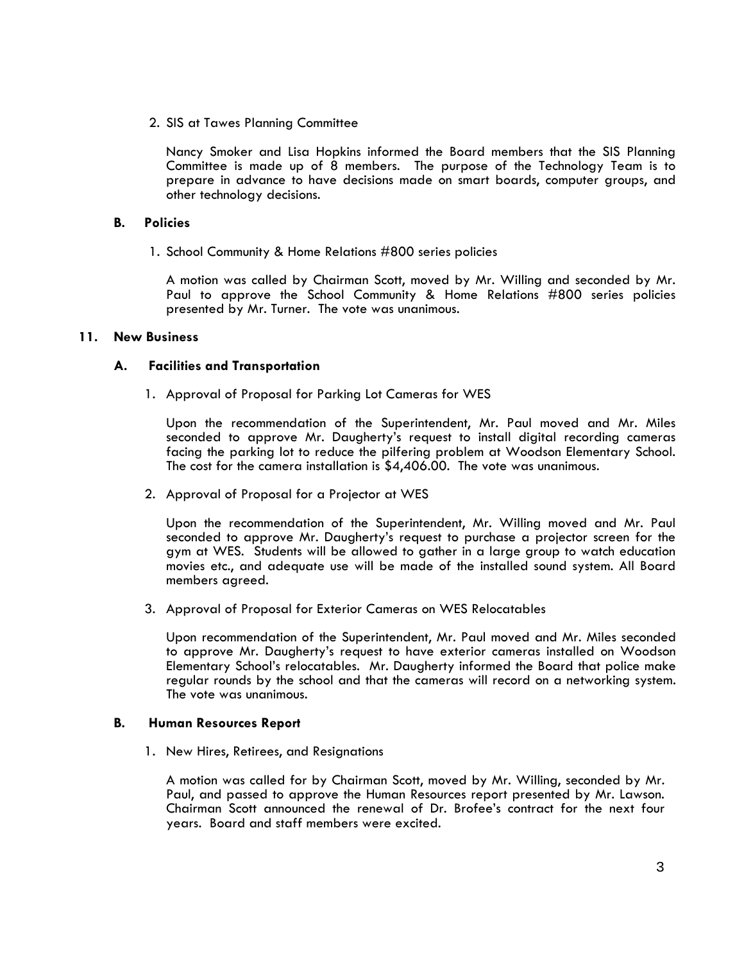2. SIS at Tawes Planning Committee

Nancy Smoker and Lisa Hopkins informed the Board members that the SIS Planning Committee is made up of 8 members. The purpose of the Technology Team is to prepare in advance to have decisions made on smart boards, computer groups, and other technology decisions.

## **B. Policies**

1. School Community & Home Relations #800 series policies<br>A motion was called by Chairman Scott, moved by Mr. Willing and seconded by Mr. Paul to approve the School Community & Home Relations #800 series policies presented by Mr. Turner. The vote was unanimous.

## **11. New Business**

## **A. Facilities and Transportation**

1. Approval of Proposal for Parking Lot Cameras for WES Upon the recommendation of the Superintendent, Mr. Paul moved and Mr. Miles seconded to approve Mr. Daugherty's request to install digital recording cameras facing the parking lot to reduce the pilfering problem at Woodson Elementary School. The cost for the camera installation is \$4,406.00. The vote was unanimous.

2. Approval of Proposal for a Projector at WES

Upon the recommendation of the Superintendent, Mr. Willing moved and Mr. Paul seconded to approve Mr. Daugherty's request to purchase a projector screen for the gym at WES. Students will be allowed to gather in a large group to watch education movies etc., and adequate use will be made of the installed sound system. All Board members agreed.

3. Approval of Proposal for Exterior Cameras on WES Relocatables

Upon recommendation of the Superintendent, Mr. Paul moved and Mr. Miles seconded to approve Mr. Daugherty's request to have exterior cameras installed on Woodson Elementary School's relocatables. Mr. Daugherty informed the Board that police make regular rounds by the school and that the cameras will record on a networking system. The vote was unanimous.

#### **B. Human Resources Report**

1. New Hires, Retirees, and Resignations

A motion was called for by Chairman Scott, moved by Mr. Willing, seconded by Mr. Paul, and passed to approve the Human Resources report presented by Mr. Lawson. Chairman Scott announced the renewal of Dr. Brofee's contract for the next four years. Board and staff members were excited.